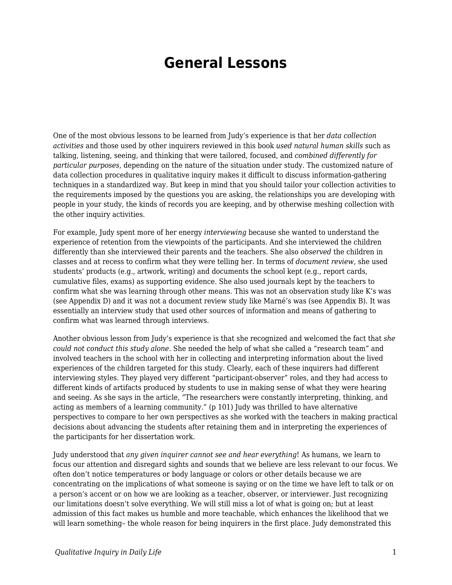## **General Lessons**

One of the most obvious lessons to be learned from Judy's experience is that her *data collection activities* and those used by other inquirers reviewed in this book *used natural human skills* such as talking, listening, seeing, and thinking that were tailored, focused, and *combined differently for particular purposes*, depending on the nature of the situation under study. The customized nature of data collection procedures in qualitative inquiry makes it difficult to discuss information-gathering techniques in a standardized way. But keep in mind that you should tailor your collection activities to the requirements imposed by the questions you are asking, the relationships you are developing with people in your study, the kinds of records you are keeping, and by otherwise meshing collection with the other inquiry activities.

For example, Judy spent more of her energy *interviewing* because she wanted to understand the experience of retention from the viewpoints of the participants. And she interviewed the children differently than she interviewed their parents and the teachers. She also *observed* the children in classes and at recess to confirm what they were telling her. In terms of *document review*, she used students' products (e.g., artwork, writing) and documents the school kept (e.g., report cards, cumulative files, exams) as supporting evidence. She also used journals kept by the teachers to confirm what she was learning through other means. This was not an observation study like K's was (see Appendix D) and it was not a document review study like Marné's was (see Appendix B). It was essentially an interview study that used other sources of information and means of gathering to confirm what was learned through interviews.

Another obvious lesson from Judy's experience is that she recognized and welcomed the fact that *she could not conduct this study alone*. She needed the help of what she called a "research team" and involved teachers in the school with her in collecting and interpreting information about the lived experiences of the children targeted for this study. Clearly, each of these inquirers had different interviewing styles. They played very different "participant-observer" roles, and they had access to different kinds of artifacts produced by students to use in making sense of what they were hearing and seeing. As she says in the article, "The researchers were constantly interpreting, thinking, and acting as members of a learning community." (p 101) Judy was thrilled to have alternative perspectives to compare to her own perspectives as she worked with the teachers in making practical decisions about advancing the students after retaining them and in interpreting the experiences of the participants for her dissertation work.

Judy understood that *any given inquirer cannot see and hear everything*! As humans, we learn to focus our attention and disregard sights and sounds that we believe are less relevant to our focus. We often don't notice temperatures or body language or colors or other details because we are concentrating on the implications of what someone is saying or on the time we have left to talk or on a person's accent or on how we are looking as a teacher, observer, or interviewer. Just recognizing our limitations doesn't solve everything. We will still miss a lot of what is going on; but at least admission of this fact makes us humble and more teachable, which enhances the likelihood that we will learn something- the whole reason for being inquirers in the first place. Judy demonstrated this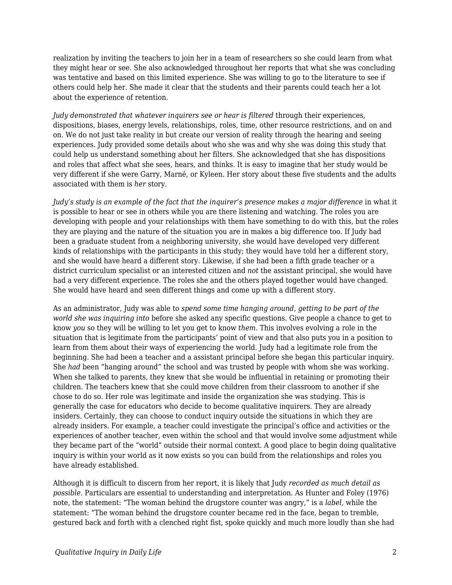realization by inviting the teachers to join her in a team of researchers so she could learn from what they might hear or see. She also acknowledged throughout her reports that what she was concluding was tentative and based on this limited experience. She was willing to go to the literature to see if others could help her. She made it clear that the students and their parents could teach her a lot about the experience of retention.

*Judy demonstrated that whatever inquirers see or hear is filtered* through their experiences, dispositions, biases, energy levels, relationships, roles, time, other resource restrictions, and on and on. We do not just take reality in but create our version of reality through the hearing and seeing experiences. Judy provided some details about who she was and why she was doing this study that could help us understand something about her filters. She acknowledged that she has dispositions and roles that affect what she sees, hears, and thinks. It is easy to imagine that her study would be very different if she were Garry, Marné, or Kyleen. Her story about these five students and the adults associated with them is *her* story.

*Judy's study is an example of the fact that the inquirer's presence makes a major difference* in what it is possible to hear or see in others while you are there listening and watching. The roles you are developing with people and your relationships with them have something to do with this, but the roles they are playing and the nature of the situation you are in makes a big difference too. If Judy had been a graduate student from a neighboring university, she would have developed very different kinds of relationships with the participants in this study; they would have told her a different story, and she would have heard a different story. Likewise, if she had been a fifth grade teacher or a district curriculum specialist or an interested citizen and *not* the assistant principal, she would have had a very different experience. The roles she and the others played together would have changed. She would have heard and seen different things and come up with a different story.

As an administrator, Judy was able to *spend some time hanging around, getting to be part of the world she was inquiring into* before she asked any specific questions. Give people a chance to get to know *you* so they will be willing to let you get to know *them*. This involves evolving a role in the situation that is legitimate from the participants' point of view and that also puts you in a position to learn from them about their ways of experiencing the world. Judy had a legitimate role from the beginning. She had been a teacher and a assistant principal before she began this particular inquiry. She *had* been "hanging around" the school and was trusted by people with whom she was working. When she talked to parents, they knew that she would be influential in retaining or promoting their children. The teachers knew that she could move children from their classroom to another if she chose to do so. Her role was legitimate and inside the organization she was studying. This is generally the case for educators who decide to become qualitative inquirers. They are already insiders. Certainly, they can choose to conduct inquiry outside the situations in which they are already insiders. For example, a teacher could investigate the principal's office and activities or the experiences of another teacher, even within the school and that would involve some adjustment while they became part of the "world" outside their normal context. A good place to begin doing qualitative inquiry is within your world as it now exists so you can build from the relationships and roles you have already established.

Although it is difficult to discern from her report, it is likely that Judy *recorded as much detail as possible*. Particulars are essential to understanding and interpretation. As Hunter and Foley (1976) note, the statement: "The woman behind the drugstore counter was angry," is a *label*, while the statement: "The woman behind the drugstore counter became red in the face, began to tremble, gestured back and forth with a clenched right fist, spoke quickly and much more loudly than she had